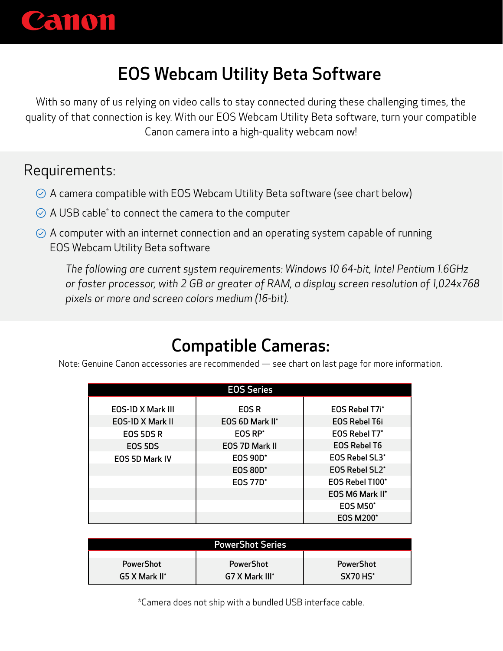

# EOS Webcam Utility Beta Software

With so many of us relying on video calls to stay connected during these challenging times, the quality of that connection is key. With our EOS Webcam Utility Beta software, turn your compatible Canon camera into a high-quality webcam now!

#### Requirements:

- $\Diamond$  A camera compatible with EOS Webcam Utility Beta software (see chart below)
- A USB cable\* to connect the camera to the computer
- $\Diamond$  A computer with an internet connection and an operating system capable of running EOS Webcam Utility Beta software

*The following are current system requirements: Windows 10 64-bit, Intel Pentium 1.6GHz or faster processor, with 2 GB or greater of RAM, a display screen resolution of 1,024x768 pixels or more and screen colors medium (16-bit).*

### Compatible Cameras:

Note: Genuine Canon accessories are recommended — see chart on last page for more information.

| <b>EOS Series</b>        |                     |                       |  |  |  |
|--------------------------|---------------------|-----------------------|--|--|--|
| <b>EOS-ID X Mark III</b> | <b>EOSR</b>         | <b>EOS Rebel T7i*</b> |  |  |  |
| <b>EOS-ID X Mark II</b>  | EOS 6D Mark II*     | <b>EOS Rebel T6i</b>  |  |  |  |
| EOS 5DS R                | EOS RP <sup>*</sup> | EOS Rebel T7*         |  |  |  |
| EOS 5DS                  | EOS 7D Mark II      | <b>EOS Rebel T6</b>   |  |  |  |
| <b>EOS 5D Mark IV</b>    | <b>EOS 90D*</b>     | <b>EOS Rebel SL3*</b> |  |  |  |
|                          | <b>EOS 80D*</b>     | EOS Rebel SL2*        |  |  |  |
|                          | <b>EOS 77D*</b>     | EOS Rebel T100*       |  |  |  |
|                          |                     | EOS M6 Mark II*       |  |  |  |
|                          |                     | <b>EOS M50*</b>       |  |  |  |
|                          |                     | <b>EOS M200*</b>      |  |  |  |

| <b>PowerShot Series</b> |                            |                  |  |  |
|-------------------------|----------------------------|------------------|--|--|
| <b>PowerShot</b>        | <b>PowerShot</b>           | <b>PowerShot</b> |  |  |
| G5 X Mark II*           | G7 X Mark III <sup>*</sup> | <b>SX70 HS*</b>  |  |  |

\*Camera does not ship with a bundled USB interface cable.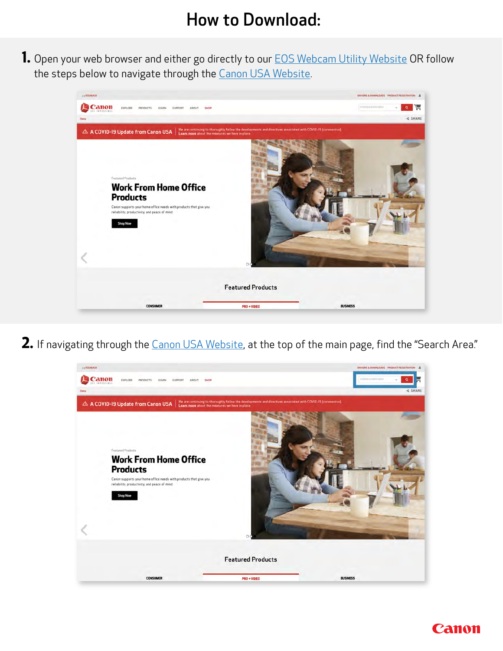### How to Download:

**1.** Open your web browser and either go directly to our **[EOS Webcam Utility Website](https://www.usa.canon.com/support/eoswebcamutility) OR** follow the steps below to navigate through the [Canon USA Website.](http://www.usa.canon.com/)



2. If navigating through the [Canon USA Website](http://www.usa.canon.com), at the top of the main page, find the "Search Area."



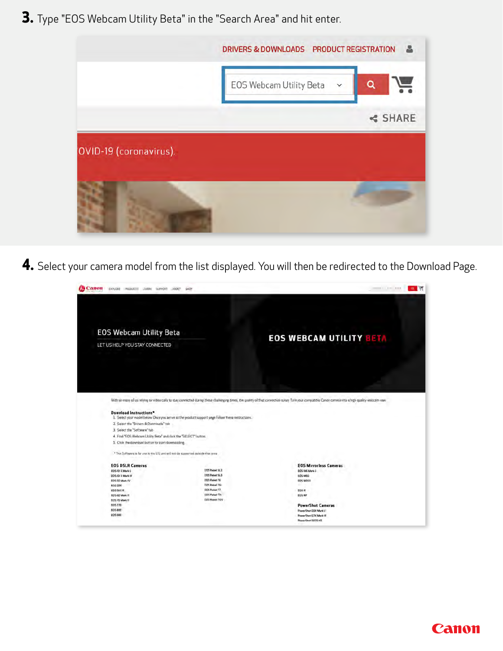**3.** Type "EOS Webcam Utility Beta" in the "Search Area" and hit enter.



**4.** Select your camera model from the list displayed. You will then be redirected to the Download Page.



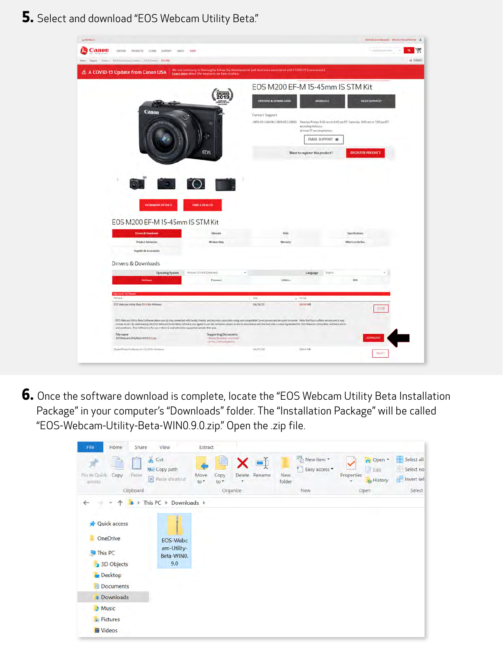**5.** Select and download "EOS Webcam Utility Beta."

| Canon<br>EXPLORE PRODUCTS LEARN SUPPORT ABOUT \$HOP                                                                                                                                                                                                                                                                                                                                                                                                                                                                                       |                                                                                                                                                                   |                                |                                                           |                                                                                                       | Contractor (1983)    |
|-------------------------------------------------------------------------------------------------------------------------------------------------------------------------------------------------------------------------------------------------------------------------------------------------------------------------------------------------------------------------------------------------------------------------------------------------------------------------------------------------------------------------------------------|-------------------------------------------------------------------------------------------------------------------------------------------------------------------|--------------------------------|-----------------------------------------------------------|-------------------------------------------------------------------------------------------------------|----------------------|
| Her Sept Direct Milfornhouse Direct 10.9 Dec 10590                                                                                                                                                                                                                                                                                                                                                                                                                                                                                        |                                                                                                                                                                   |                                |                                                           |                                                                                                       | <br>SHAIE            |
| △ A COVID-19 Update from Canon USA                                                                                                                                                                                                                                                                                                                                                                                                                                                                                                        | We are continuing to thoroughly follow the developments and directives associated with COVID-19 (coronavirus).<br>Learn more about the measures we have in place. |                                |                                                           |                                                                                                       |                      |
|                                                                                                                                                                                                                                                                                                                                                                                                                                                                                                                                           |                                                                                                                                                                   |                                |                                                           | EOS M200 EF-M 15-45mm IS STM Kit                                                                      |                      |
|                                                                                                                                                                                                                                                                                                                                                                                                                                                                                                                                           |                                                                                                                                                                   |                                |                                                           |                                                                                                       |                      |
|                                                                                                                                                                                                                                                                                                                                                                                                                                                                                                                                           |                                                                                                                                                                   | <b>DRIVERS &amp; DOWNLOADS</b> |                                                           | <b>MANUALS</b>                                                                                        | <b>NEED SERVICE?</b> |
| Canon                                                                                                                                                                                                                                                                                                                                                                                                                                                                                                                                     |                                                                                                                                                                   | Contact Support                |                                                           |                                                                                                       |                      |
|                                                                                                                                                                                                                                                                                                                                                                                                                                                                                                                                           |                                                                                                                                                                   |                                | excluding holidays.<br>All times ET, essiloling halldays. | I-800-OK-CANON (I-800-652-2666) Moncay-Friday 9.00 am to 9.00 pm ET, Saturday: 9.00 am to 7.00 pm ET, |                      |
|                                                                                                                                                                                                                                                                                                                                                                                                                                                                                                                                           |                                                                                                                                                                   |                                |                                                           | EMAIL SUPPORT                                                                                         |                      |
|                                                                                                                                                                                                                                                                                                                                                                                                                                                                                                                                           | EOS                                                                                                                                                               |                                | Want to register this product?                            | <b>REGISTER PRODUCT</b>                                                                               |                      |
|                                                                                                                                                                                                                                                                                                                                                                                                                                                                                                                                           |                                                                                                                                                                   |                                |                                                           |                                                                                                       |                      |
|                                                                                                                                                                                                                                                                                                                                                                                                                                                                                                                                           |                                                                                                                                                                   |                                |                                                           |                                                                                                       |                      |
| $\mathcal{L}(\mathcal{O})$ .                                                                                                                                                                                                                                                                                                                                                                                                                                                                                                              |                                                                                                                                                                   |                                |                                                           |                                                                                                       |                      |
|                                                                                                                                                                                                                                                                                                                                                                                                                                                                                                                                           |                                                                                                                                                                   |                                |                                                           |                                                                                                       |                      |
|                                                                                                                                                                                                                                                                                                                                                                                                                                                                                                                                           |                                                                                                                                                                   |                                |                                                           |                                                                                                       |                      |
| <b>VIEW MORE DETAILS</b>                                                                                                                                                                                                                                                                                                                                                                                                                                                                                                                  | <b>FIND A DEALER</b>                                                                                                                                              |                                |                                                           |                                                                                                       |                      |
| EOS M200 EF-M 15-45mm IS STM Kit                                                                                                                                                                                                                                                                                                                                                                                                                                                                                                          |                                                                                                                                                                   |                                |                                                           |                                                                                                       |                      |
|                                                                                                                                                                                                                                                                                                                                                                                                                                                                                                                                           |                                                                                                                                                                   |                                |                                                           |                                                                                                       |                      |
| <b>Drivers &amp; Downloads</b>                                                                                                                                                                                                                                                                                                                                                                                                                                                                                                            | Minuds                                                                                                                                                            |                                | FAQs                                                      | Specifications                                                                                        |                      |
| <b>Product Advisories</b>                                                                                                                                                                                                                                                                                                                                                                                                                                                                                                                 | Windess Help                                                                                                                                                      |                                | Warranty                                                  | What's in the Box                                                                                     |                      |
| Supplies & Accessories                                                                                                                                                                                                                                                                                                                                                                                                                                                                                                                    |                                                                                                                                                                   |                                |                                                           |                                                                                                       |                      |
| Drivers & Downloads                                                                                                                                                                                                                                                                                                                                                                                                                                                                                                                       |                                                                                                                                                                   |                                |                                                           |                                                                                                       |                      |
| <b>Operating System</b>                                                                                                                                                                                                                                                                                                                                                                                                                                                                                                                   | Writiows (0 (id-4) (Detected)                                                                                                                                     |                                | Language                                                  | English                                                                                               |                      |
| <b>Software</b>                                                                                                                                                                                                                                                                                                                                                                                                                                                                                                                           | Elemente                                                                                                                                                          |                                | <b>Utilities</b>                                          | SER                                                                                                   |                      |
|                                                                                                                                                                                                                                                                                                                                                                                                                                                                                                                                           |                                                                                                                                                                   |                                |                                                           |                                                                                                       |                      |
| Fiti News                                                                                                                                                                                                                                                                                                                                                                                                                                                                                                                                 |                                                                                                                                                                   | <b>Disk</b>                    | $+$ PaSs                                                  |                                                                                                       |                      |
| EOS Webcam Unitry Beta 074N for Windows                                                                                                                                                                                                                                                                                                                                                                                                                                                                                                   |                                                                                                                                                                   | 04/24/20                       | <b>Jacobi MB</b>                                          |                                                                                                       | 0.025                |
| EOS Webcam Utsitly Beta Software allows you to stay connected with family, friends, and business associates using your compatible Canon carnera and personal computer. Note that this is a Beta version and it may<br>contain errors. By downloading the EOS Webcam Libley Beta Software, you agree to use the Software subject to and in accordance with the End User License Agreement for EOS Webcam Utility Beta Software terms.<br>and conditions. This Software is for use in the U.S. and will not be supported outside that area. |                                                                                                                                                                   |                                |                                                           |                                                                                                       |                      |
|                                                                                                                                                                                                                                                                                                                                                                                                                                                                                                                                           |                                                                                                                                                                   |                                |                                                           |                                                                                                       |                      |
| File name<br>EOSWebcamUtim/Beta-WINON/v.dip                                                                                                                                                                                                                                                                                                                                                                                                                                                                                               | <b>Supporting Documents</b><br>- How to Download and Install                                                                                                      |                                |                                                           |                                                                                                       | <b>DOWNLOAD</b>      |
| Digital Photo Professional A12.20 for Windows                                                                                                                                                                                                                                                                                                                                                                                                                                                                                             | (b) was the Minima Delivery                                                                                                                                       | (A/07/20)                      | 283.417.65                                                |                                                                                                       | <b>TELEST</b>        |

**6.** Once the software download is complete, locate the "EOS Webcam Utility Beta Installation Package" in your computer's "Downloads" folder. The "Installation Package" will be called "EOS-Webcam-Utility-Beta-WIN0.9.0.zip." Open the .zip file.

| Home<br>File<br>Share                                                                   | View                                                 | Extract                    |                                      |                                              |                                                               |                                       |
|-----------------------------------------------------------------------------------------|------------------------------------------------------|----------------------------|--------------------------------------|----------------------------------------------|---------------------------------------------------------------|---------------------------------------|
| Pin to Quick<br>Copy<br>Paste<br>access                                                 | $\chi$ Cut<br><b>W</b> - Copy path<br>Paste shortcut | Move<br>Copy<br>to<br>to * | $\blacksquare$<br>Delete Rename<br>۰ | New item *<br>Easy access *<br>New<br>folder | p Open *<br>$\sqrt{ }$ Edit<br>Properties<br><b>A</b> History | Select all<br>Select no<br>Invert sel |
| Clipboard                                                                               |                                                      |                            | Organize                             | New                                          | Open                                                          | Select                                |
| ←<br>э                                                                                  | This PC $\rightarrow$ Downloads $\rightarrow$        |                            |                                      |                                              |                                                               |                                       |
| Quick access<br>OneDrive<br>This PC<br>3D Objects<br><b>Desktop</b><br><b>Documents</b> | EOS-Webc<br>am-Utility-<br>Beta-WINO.<br>9.0         |                            |                                      |                                              |                                                               |                                       |
| <b>Downloads</b>                                                                        |                                                      |                            |                                      |                                              |                                                               |                                       |
| <b>Music</b>                                                                            |                                                      |                            |                                      |                                              |                                                               |                                       |
| Pictures                                                                                |                                                      |                            |                                      |                                              |                                                               |                                       |
| <b>E</b> Videos                                                                         |                                                      |                            |                                      |                                              |                                                               |                                       |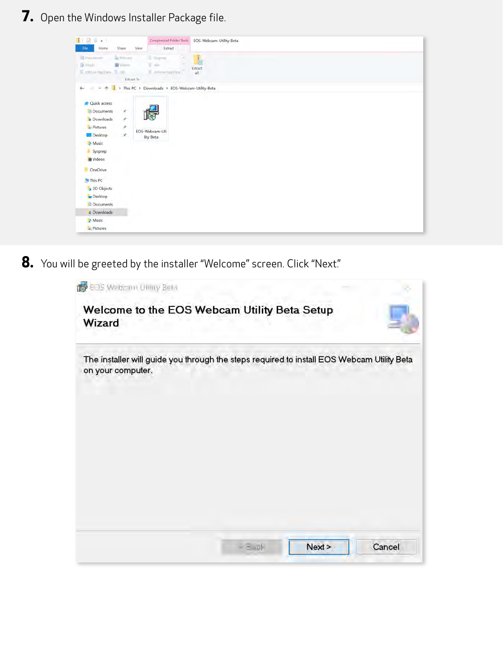**7.** Open the Windows Installer Package file.

| $\blacksquare$ $\blacksquare$ $\blacksquare$ $\blacksquare$ $\blacksquare$ $\blacksquare$          | Compressed Folder Tools                                          | EOS-Webcam-Utility-Beta |
|----------------------------------------------------------------------------------------------------|------------------------------------------------------------------|-------------------------|
| Home<br>Share<br>File<br>Pirtures<br>Documents<br>A Music<br><b>B</b> Videos<br>x86UserAppData x86 | Extract<br>View-<br>Sysprep.<br>$-0.64$<br>$\sim$ xo4UserAppData | Ă<br>Extract<br>all     |
| Extract To                                                                                         |                                                                  |                         |
| $\sim$<br>$\hat{\tau}$<br>$\sim$<br>$\leftarrow$                                                   | This PC > Downloads > EOS-Webcam-Utility-Beta                    |                         |
| Cuick access                                                                                       |                                                                  |                         |
| ×<br>M Documents                                                                                   |                                                                  |                         |
| À.<br><b>B</b> Downloads                                                                           |                                                                  |                         |
| À.<br><b>Pictures</b>                                                                              |                                                                  |                         |
| Desktop<br>$\mathcal{R}_{-}$                                                                       | EOS-Webcam-Uti<br>lity-Beta                                      |                         |
| Music                                                                                              |                                                                  |                         |
| Sysprep                                                                                            |                                                                  |                         |
| <b>E</b> Videos                                                                                    |                                                                  |                         |
| OneDrive                                                                                           |                                                                  |                         |
| This PC                                                                                            |                                                                  |                         |
| 3D Objects                                                                                         |                                                                  |                         |
| Desktop                                                                                            |                                                                  |                         |
| Documents                                                                                          |                                                                  |                         |
| <b>Downloads</b>                                                                                   |                                                                  |                         |
| Music                                                                                              |                                                                  |                         |
| $=$ Pictures                                                                                       |                                                                  |                         |

8. You will be greeted by the installer "Welcome" screen. Click "Next."

| <b>B</b> EDS Webcam Utility Beta                                                                                |        |
|-----------------------------------------------------------------------------------------------------------------|--------|
| Welcome to the EOS Webcam Utility Beta Setup<br>Wizard                                                          |        |
| The installer will guide you through the steps required to install EOS Webcam Utility Beta<br>on your computer. |        |
|                                                                                                                 |        |
|                                                                                                                 |        |
|                                                                                                                 |        |
|                                                                                                                 |        |
|                                                                                                                 |        |
| $-8.01$<br>Next                                                                                                 | Cancel |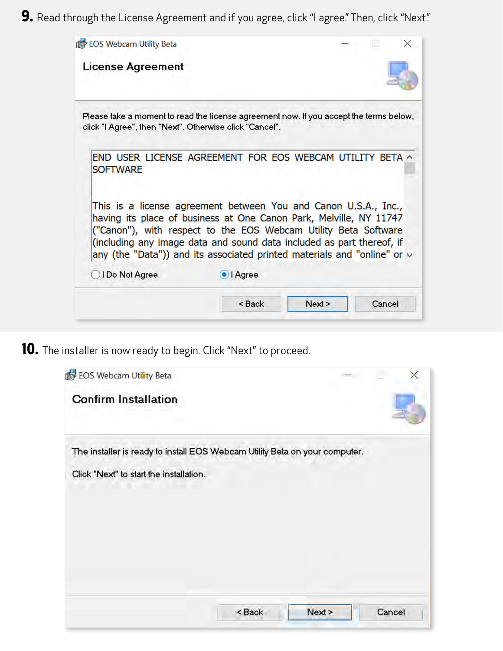9. Read through the License Agreement and if you agree, click "I agree." Then, click "Next."

| EOS Webcam Utility Beta                                                                                                                                                                                                                                                                                                                                            |                                                   |      |        |
|--------------------------------------------------------------------------------------------------------------------------------------------------------------------------------------------------------------------------------------------------------------------------------------------------------------------------------------------------------------------|---------------------------------------------------|------|--------|
| <b>License Agreement</b>                                                                                                                                                                                                                                                                                                                                           |                                                   |      |        |
| Please take a moment to read the license agreement now. If you accept the terms below,<br>click "I Agree", then "Next". Otherwise click "Cancel".                                                                                                                                                                                                                  |                                                   |      |        |
| END USER LICENSE AGREEMENT FOR EOS WEBCAM UTILITY BETA ^<br><b>SOFTWARE</b>                                                                                                                                                                                                                                                                                        |                                                   |      |        |
| This is a license agreement between You and Canon U.S.A., Inc.,<br>having its place of business at One Canon Park, Melville, NY 11747<br>("Canon"), with respect to the EOS Webcam Utility Beta Software<br>(including any image data and sound data included as part thereof, if<br>any (the "Data")) and its associated printed materials and "online" or $\vee$ |                                                   |      |        |
| I Do Not Agree                                                                                                                                                                                                                                                                                                                                                     | OI Agree                                          |      |        |
|                                                                                                                                                                                                                                                                                                                                                                    | <back< th=""><td>Next</td><td>Cancel</td></back<> | Next | Cancel |

**10.** The installer is now ready to begin. Click "Next" to proceed.

| EOS Webcam Utility Beta                                                     |          |        |        |
|-----------------------------------------------------------------------------|----------|--------|--------|
| <b>Confirm Installation</b>                                                 |          |        |        |
| The installer is ready to install EOS Webcam Utility Beta on your computer. |          |        |        |
| Click "Next" to start the installation.                                     |          |        |        |
|                                                                             |          |        |        |
|                                                                             |          |        |        |
|                                                                             |          |        |        |
|                                                                             |          |        |        |
|                                                                             | $<$ Back | Next > | Cancel |
|                                                                             |          |        |        |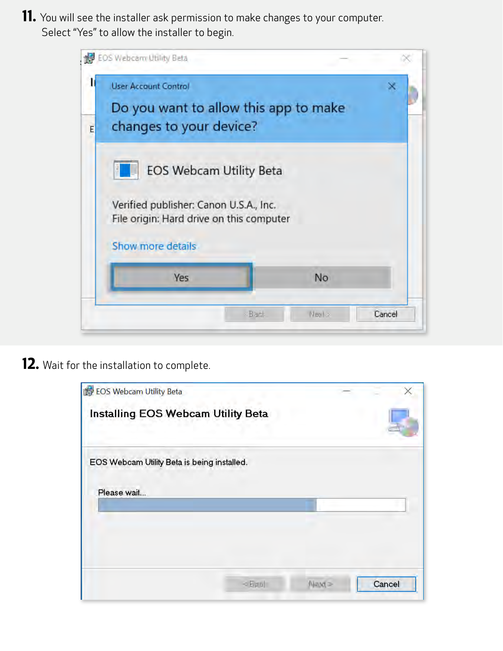**11.** You will see the installer ask permission to make changes to your computer. Select "Yes" to allow the installer to begin.

|   | EOS Webcarn Utility Beta                                                                                                                                             |                |        |
|---|----------------------------------------------------------------------------------------------------------------------------------------------------------------------|----------------|--------|
|   | <b>User Account Control</b><br>Do you want to allow this app to make                                                                                                 |                |        |
| E | changes to your device?<br><b>EOS Webcam Utility Beta</b><br>Verified publisher: Canon U.S.A., Inc.<br>File origin: Hard drive on this computer<br>Show more details |                |        |
|   | <b>Yes</b>                                                                                                                                                           | No             |        |
|   |                                                                                                                                                                      | Next ><br>Back | Cancel |

**12.** Wait for the installation to complete.

| EOS Webcam Utility Beta                     |  |  |  |
|---------------------------------------------|--|--|--|
| Installing EOS Webcam Utility Beta          |  |  |  |
| EOS Webcam Utility Beta is being installed. |  |  |  |
| Please wait                                 |  |  |  |
|                                             |  |  |  |
|                                             |  |  |  |
|                                             |  |  |  |
|                                             |  |  |  |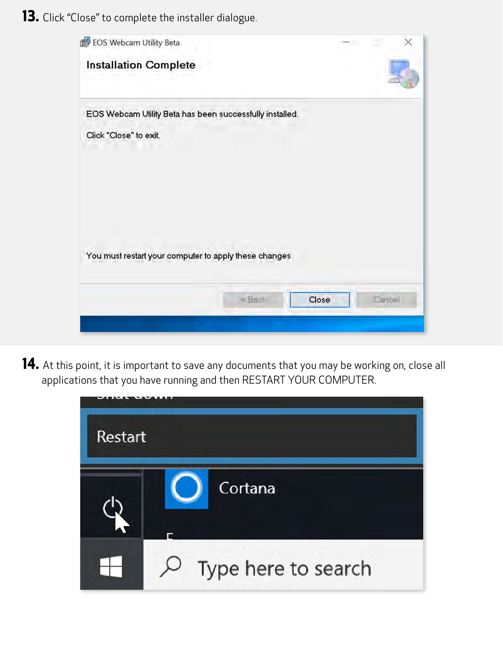**13.** Click "Close" to complete the installer dialogue.



**14.** At this point, it is important to save any documents that you may be working on, close all applications that you have running and then RESTART YOUR COMPUTER.

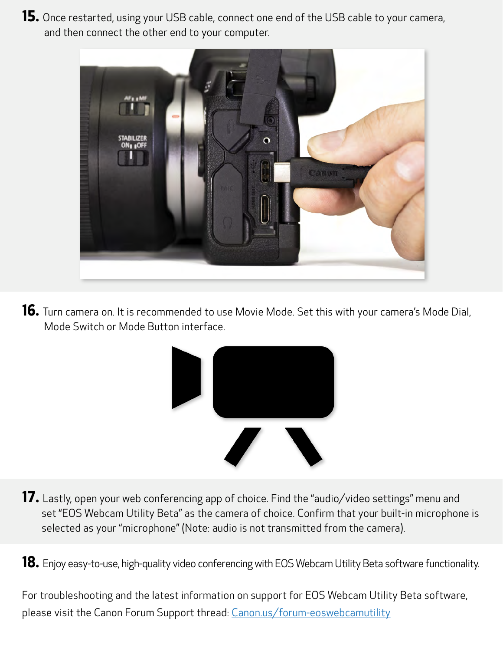**15.** Once restarted, using your USB cable, connect one end of the USB cable to your camera, and then connect the other end to your computer.



**16.** Turn camera on. It is recommended to use Movie Mode. Set this with your camera's Mode Dial, Mode Switch or Mode Button interface.



- 17. Lastly, open your web conferencing app of choice. Find the "audio/video settings" menu and set "EOS Webcam Utility Beta" as the camera of choice. Confirm that your built-in microphone is selected as your "microphone" (Note: audio is not transmitted from the camera).
- **18.** Enjoy easy-to-use, high-quality video conferencing with EOS Webcam Utility Beta software functionality.

For troubleshooting and the latest information on support for EOS Webcam Utility Beta software, please visit the Canon Forum Support thread: [Canon.us/forum-eoswebcamutility](https://canon.us/forum-eoswebcamutility)